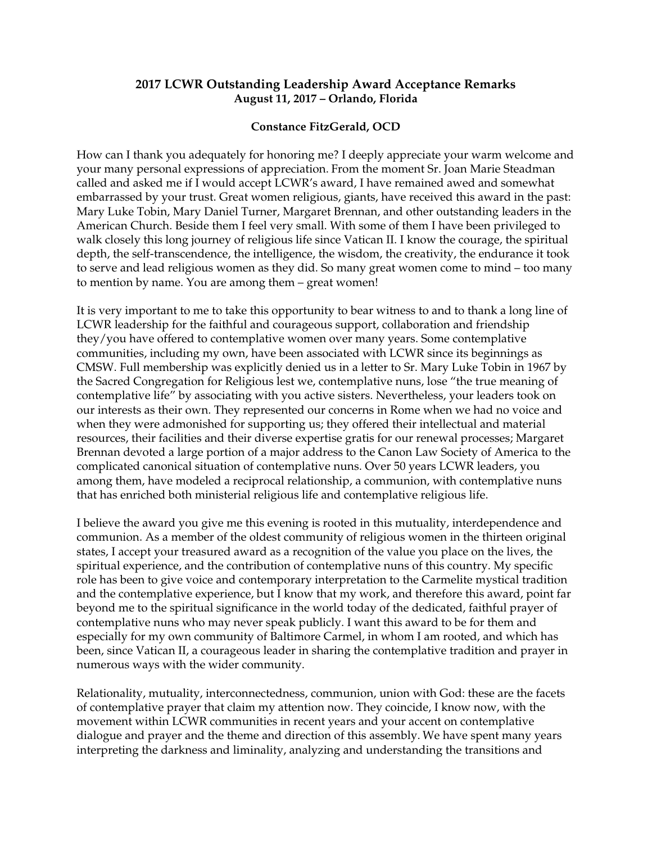## **2017 LCWR Outstanding Leadership Award Acceptance Remarks August 11, 2017 – Orlando, Florida**

## **Constance FitzGerald, OCD**

How can I thank you adequately for honoring me? I deeply appreciate your warm welcome and your many personal expressions of appreciation. From the moment Sr. Joan Marie Steadman called and asked me if I would accept LCWR's award, I have remained awed and somewhat embarrassed by your trust. Great women religious, giants, have received this award in the past: Mary Luke Tobin, Mary Daniel Turner, Margaret Brennan, and other outstanding leaders in the American Church. Beside them I feel very small. With some of them I have been privileged to walk closely this long journey of religious life since Vatican II. I know the courage, the spiritual depth, the self-transcendence, the intelligence, the wisdom, the creativity, the endurance it took to serve and lead religious women as they did. So many great women come to mind – too many to mention by name. You are among them – great women!

It is very important to me to take this opportunity to bear witness to and to thank a long line of LCWR leadership for the faithful and courageous support, collaboration and friendship they/you have offered to contemplative women over many years. Some contemplative communities, including my own, have been associated with LCWR since its beginnings as CMSW. Full membership was explicitly denied us in a letter to Sr. Mary Luke Tobin in 1967 by the Sacred Congregation for Religious lest we, contemplative nuns, lose "the true meaning of contemplative life" by associating with you active sisters. Nevertheless, your leaders took on our interests as their own. They represented our concerns in Rome when we had no voice and when they were admonished for supporting us; they offered their intellectual and material resources, their facilities and their diverse expertise gratis for our renewal processes; Margaret Brennan devoted a large portion of a major address to the Canon Law Society of America to the complicated canonical situation of contemplative nuns. Over 50 years LCWR leaders, you among them, have modeled a reciprocal relationship, a communion, with contemplative nuns that has enriched both ministerial religious life and contemplative religious life.

I believe the award you give me this evening is rooted in this mutuality, interdependence and communion. As a member of the oldest community of religious women in the thirteen original states, I accept your treasured award as a recognition of the value you place on the lives, the spiritual experience, and the contribution of contemplative nuns of this country. My specific role has been to give voice and contemporary interpretation to the Carmelite mystical tradition and the contemplative experience, but I know that my work, and therefore this award, point far beyond me to the spiritual significance in the world today of the dedicated, faithful prayer of contemplative nuns who may never speak publicly. I want this award to be for them and especially for my own community of Baltimore Carmel, in whom I am rooted, and which has been, since Vatican II, a courageous leader in sharing the contemplative tradition and prayer in numerous ways with the wider community.

Relationality, mutuality, interconnectedness, communion, union with God: these are the facets of contemplative prayer that claim my attention now. They coincide, I know now, with the movement within LCWR communities in recent years and your accent on contemplative dialogue and prayer and the theme and direction of this assembly. We have spent many years interpreting the darkness and liminality, analyzing and understanding the transitions and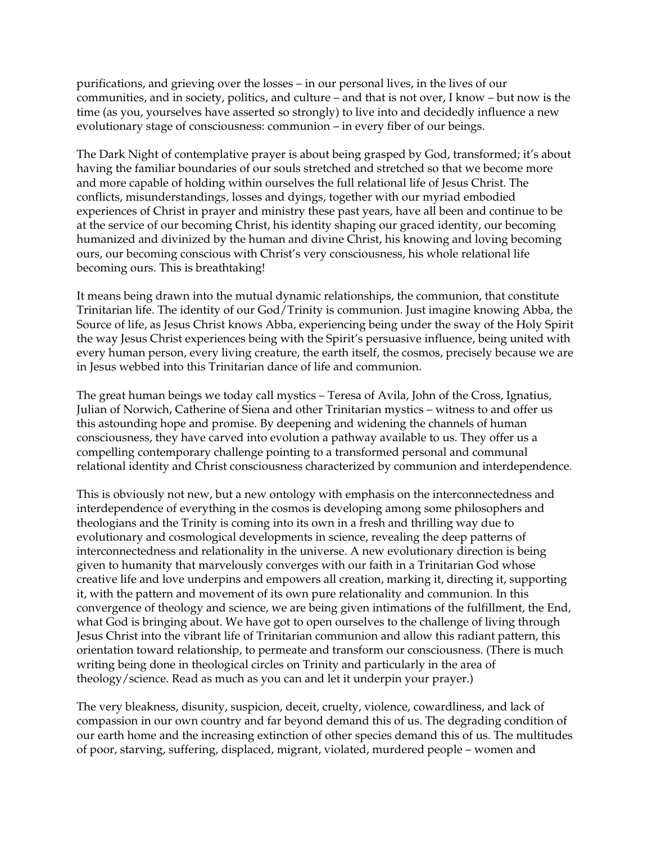purifications, and grieving over the losses – in our personal lives, in the lives of our communities, and in society, politics, and culture – and that is not over, I know – but now is the time (as you, yourselves have asserted so strongly) to live into and decidedly influence a new evolutionary stage of consciousness: communion – in every fiber of our beings.

The Dark Night of contemplative prayer is about being grasped by God, transformed; it's about having the familiar boundaries of our souls stretched and stretched so that we become more and more capable of holding within ourselves the full relational life of Jesus Christ. The conflicts, misunderstandings, losses and dyings, together with our myriad embodied experiences of Christ in prayer and ministry these past years, have all been and continue to be at the service of our becoming Christ, his identity shaping our graced identity, our becoming humanized and divinized by the human and divine Christ, his knowing and loving becoming ours, our becoming conscious with Christ's very consciousness, his whole relational life becoming ours. This is breathtaking!

It means being drawn into the mutual dynamic relationships, the communion, that constitute Trinitarian life. The identity of our God/Trinity is communion. Just imagine knowing Abba, the Source of life, as Jesus Christ knows Abba, experiencing being under the sway of the Holy Spirit the way Jesus Christ experiences being with the Spirit's persuasive influence, being united with every human person, every living creature, the earth itself, the cosmos, precisely because we are in Jesus webbed into this Trinitarian dance of life and communion.

The great human beings we today call mystics – Teresa of Avila, John of the Cross, Ignatius, Julian of Norwich, Catherine of Siena and other Trinitarian mystics – witness to and offer us this astounding hope and promise. By deepening and widening the channels of human consciousness, they have carved into evolution a pathway available to us. They offer us a compelling contemporary challenge pointing to a transformed personal and communal relational identity and Christ consciousness characterized by communion and interdependence.

This is obviously not new, but a new ontology with emphasis on the interconnectedness and interdependence of everything in the cosmos is developing among some philosophers and theologians and the Trinity is coming into its own in a fresh and thrilling way due to evolutionary and cosmological developments in science, revealing the deep patterns of interconnectedness and relationality in the universe. A new evolutionary direction is being given to humanity that marvelously converges with our faith in a Trinitarian God whose creative life and love underpins and empowers all creation, marking it, directing it, supporting it, with the pattern and movement of its own pure relationality and communion. In this convergence of theology and science, we are being given intimations of the fulfillment, the End, what God is bringing about. We have got to open ourselves to the challenge of living through Jesus Christ into the vibrant life of Trinitarian communion and allow this radiant pattern, this orientation toward relationship, to permeate and transform our consciousness. (There is much writing being done in theological circles on Trinity and particularly in the area of theology/science. Read as much as you can and let it underpin your prayer.)

The very bleakness, disunity, suspicion, deceit, cruelty, violence, cowardliness, and lack of compassion in our own country and far beyond demand this of us. The degrading condition of our earth home and the increasing extinction of other species demand this of us. The multitudes of poor, starving, suffering, displaced, migrant, violated, murdered people – women and